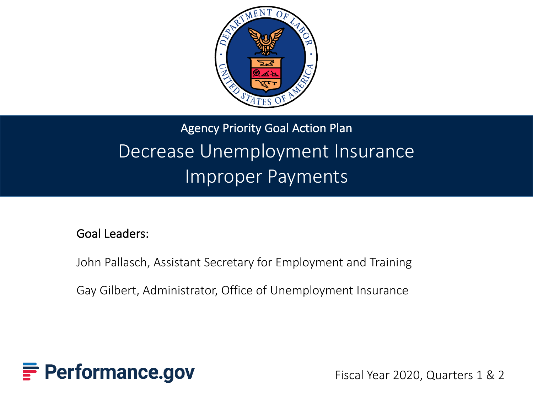

### Agency Priority Goal Action Plan Decrease Unemployment Insurance Improper Payments

#### Goal Leaders:

John Pallasch, Assistant Secretary for Employment and Training

Gay Gilbert, Administrator, Office of Unemployment Insurance



Fiscal Year 2020, Quarters 1 & 2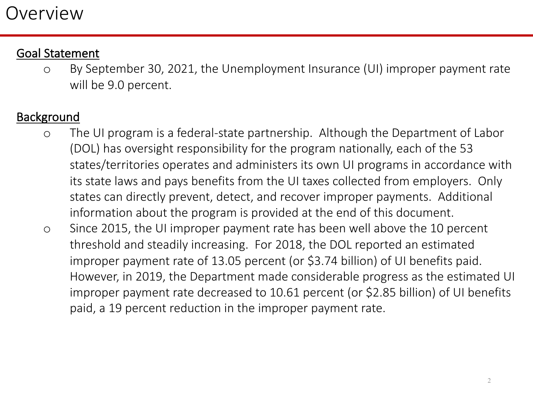#### Goal Statement

o By September 30, 2021, the Unemployment Insurance (UI) improper payment rate will be 9.0 percent.

#### **Background**

- o The UI program is a federal-state partnership. Although the Department of Labor (DOL) has oversight responsibility for the program nationally, each of the 53 states/territories operates and administers its own UI programs in accordance with its state laws and pays benefits from the UI taxes collected from employers. Only states can directly prevent, detect, and recover improper payments. Additional information about the program is provided at the end of this document.
- o Since 2015, the UI improper payment rate has been well above the 10 percent threshold and steadily increasing. For 2018, the DOL reported an estimated improper payment rate of 13.05 percent (or \$3.74 billion) of UI benefits paid. However, in 2019, the Department made considerable progress as the estimated UI improper payment rate decreased to 10.61 percent (or \$2.85 billion) of UI benefits paid, a 19 percent reduction in the improper payment rate.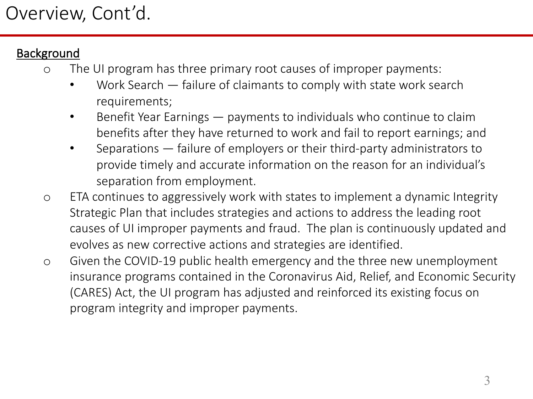#### **Background**

- o The UI program has three primary root causes of improper payments:
	- Work Search failure of claimants to comply with state work search requirements;
	- Benefit Year Earnings payments to individuals who continue to claim benefits after they have returned to work and fail to report earnings; and
	- Separations failure of employers or their third-party administrators to provide timely and accurate information on the reason for an individual's separation from employment.
- o ETA continues to aggressively work with states to implement a dynamic Integrity Strategic Plan that includes strategies and actions to address the leading root causes of UI improper payments and fraud. The plan is continuously updated and evolves as new corrective actions and strategies are identified.
- o Given the COVID-19 public health emergency and the three new unemployment insurance programs contained in the Coronavirus Aid, Relief, and Economic Security (CARES) Act, the UI program has adjusted and reinforced its existing focus on program integrity and improper payments.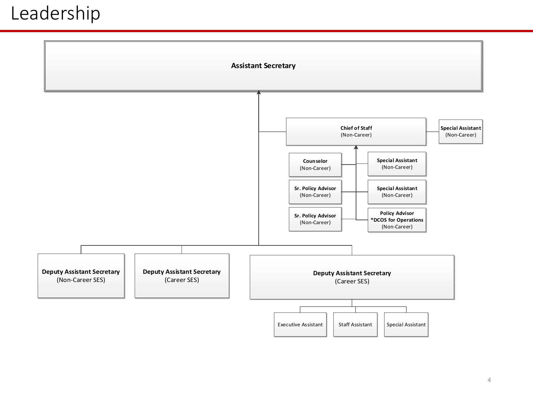### Leadership

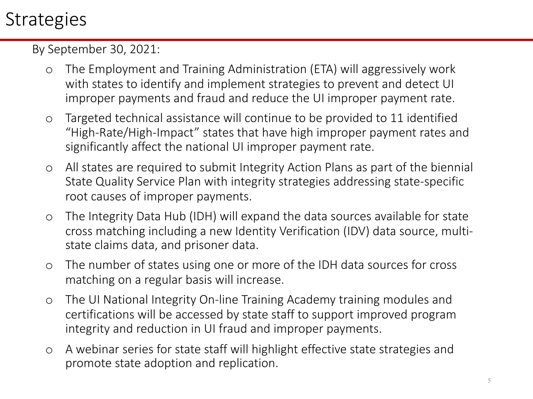### **Strategies**

By September 30, 2021:

- o The Employment and Training Administration (ETA) will aggressively work with states to identify and implement strategies to prevent and detect UI improper payments and fraud and reduce the UI improper payment rate.
- o Targeted technical assistance will continue to be provided to 11 identified "High-Rate/High-Impact" states that have high improper payment rates and significantly affect the national UI improper payment rate.
- o All states are required to submit Integrity Action Plans as part of the biennial State Quality Service Plan with integrity strategies addressing state-specific root causes of improper payments.
- o The Integrity Data Hub (IDH) will expand the data sources available for state cross matching including a new Identity Verification (IDV) data source, multistate claims data, and prisoner data.
- o The number of states using one or more of the IDH data sources for cross matching on a regular basis will increase.
- o The UI National Integrity On-line Training Academy training modules and certifications will be accessed by state staff to support improved program integrity and reduction in UI fraud and improper payments.
- o A webinar series for state staff will highlight effective state strategies and promote state adoption and replication.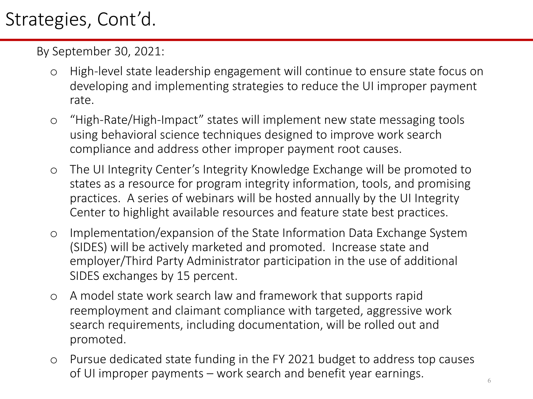### Strategies, Cont'd.

By September 30, 2021:

- o High-level state leadership engagement will continue to ensure state focus on developing and implementing strategies to reduce the UI improper payment rate.
- o "High-Rate/High-Impact" states will implement new state messaging tools using behavioral science techniques designed to improve work search compliance and address other improper payment root causes.
- o The UI Integrity Center's Integrity Knowledge Exchange will be promoted to states as a resource for program integrity information, tools, and promising practices. A series of webinars will be hosted annually by the UI Integrity Center to highlight available resources and feature state best practices.
- o Implementation/expansion of the State Information Data Exchange System (SIDES) will be actively marketed and promoted. Increase state and employer/Third Party Administrator participation in the use of additional SIDES exchanges by 15 percent.
- o A model state work search law and framework that supports rapid reemployment and claimant compliance with targeted, aggressive work search requirements, including documentation, will be rolled out and promoted.
- o Pursue dedicated state funding in the FY 2021 budget to address top causes of UI improper payments – work search and benefit year earnings.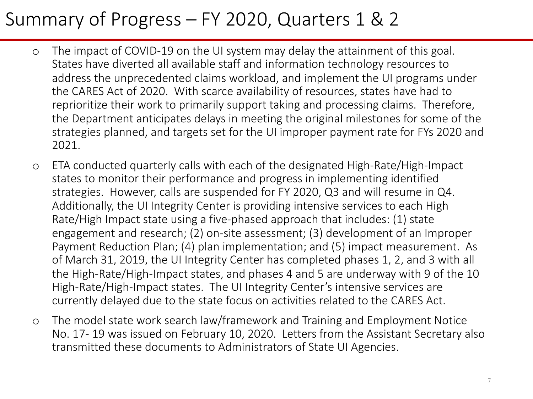### Summary of Progress – FY 2020, Quarters 1 & 2

- o The impact of COVID-19 on the UI system may delay the attainment of this goal. States have diverted all available staff and information technology resources to address the unprecedented claims workload, and implement the UI programs under the CARES Act of 2020. With scarce availability of resources, states have had to reprioritize their work to primarily support taking and processing claims. Therefore, the Department anticipates delays in meeting the original milestones for some of the strategies planned, and targets set for the UI improper payment rate for FYs 2020 and 2021.
- o ETA conducted quarterly calls with each of the designated High-Rate/High-Impact states to monitor their performance and progress in implementing identified strategies. However, calls are suspended for FY 2020, Q3 and will resume in Q4. Additionally, the UI Integrity Center is providing intensive services to each High Rate/High Impact state using a five-phased approach that includes: (1) state engagement and research; (2) on-site assessment; (3) development of an Improper Payment Reduction Plan; (4) plan implementation; and (5) impact measurement. As of March 31, 2019, the UI Integrity Center has completed phases 1, 2, and 3 with all the High-Rate/High-Impact states, and phases 4 and 5 are underway with 9 of the 10 High-Rate/High-Impact states. The UI Integrity Center's intensive services are currently delayed due to the state focus on activities related to the CARES Act.
- o The model state work search law/framework and Training and Employment Notice No. 17- 19 was issued on February 10, 2020. Letters from the Assistant Secretary also transmitted these documents to Administrators of State UI Agencies.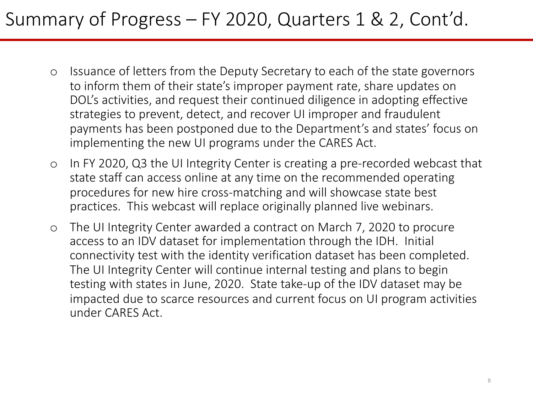### Summary of Progress – FY 2020, Quarters 1 & 2, Cont'd.

- o Issuance of letters from the Deputy Secretary to each of the state governors to inform them of their state's improper payment rate, share updates on DOL's activities, and request their continued diligence in adopting effective strategies to prevent, detect, and recover UI improper and fraudulent payments has been postponed due to the Department's and states' focus on implementing the new UI programs under the CARES Act.
- o In FY 2020, Q3 the UI Integrity Center is creating a pre-recorded webcast that state staff can access online at any time on the recommended operating procedures for new hire cross-matching and will showcase state best practices. This webcast will replace originally planned live webinars.
- o The UI Integrity Center awarded a contract on March 7, 2020 to procure access to an IDV dataset for implementation through the IDH. Initial connectivity test with the identity verification dataset has been completed. The UI Integrity Center will continue internal testing and plans to begin testing with states in June, 2020. State take-up of the IDV dataset may be impacted due to scarce resources and current focus on UI program activities under CARES Act.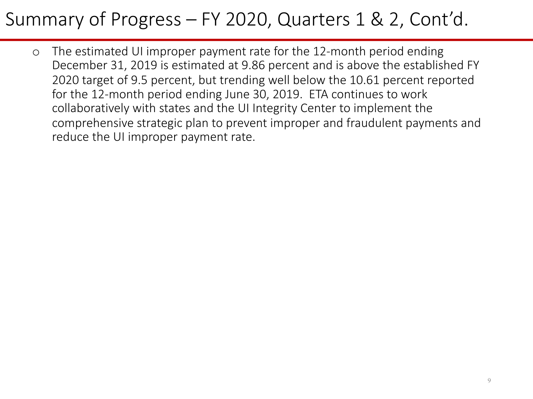### Summary of Progress – FY 2020, Quarters 1 & 2, Cont'd.

o The estimated UI improper payment rate for the 12-month period ending December 31, 2019 is estimated at 9.86 percent and is above the established FY 2020 target of 9.5 percent, but trending well below the 10.61 percent reported for the 12-month period ending June 30, 2019. ETA continues to work collaboratively with states and the UI Integrity Center to implement the comprehensive strategic plan to prevent improper and fraudulent payments and reduce the UI improper payment rate.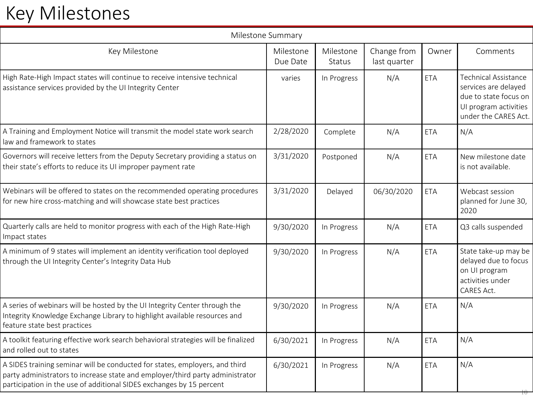# Key Milestones

| Milestone Summary                                                                                                                                                                                                                    |                       |                            |                             |            |                                                                                                                               |
|--------------------------------------------------------------------------------------------------------------------------------------------------------------------------------------------------------------------------------------|-----------------------|----------------------------|-----------------------------|------------|-------------------------------------------------------------------------------------------------------------------------------|
| Key Milestone                                                                                                                                                                                                                        | Milestone<br>Due Date | Milestone<br><b>Status</b> | Change from<br>last quarter | Owner      | Comments                                                                                                                      |
| High Rate-High Impact states will continue to receive intensive technical<br>assistance services provided by the UI Integrity Center                                                                                                 | varies                | In Progress                | N/A                         | ETA        | <b>Technical Assistance</b><br>services are delayed<br>due to state focus on<br>UI program activities<br>under the CARES Act. |
| A Training and Employment Notice will transmit the model state work search<br>law and framework to states                                                                                                                            | 2/28/2020             | Complete                   | N/A                         | <b>ETA</b> | N/A                                                                                                                           |
| Governors will receive letters from the Deputy Secretary providing a status on<br>their state's efforts to reduce its UI improper payment rate                                                                                       | 3/31/2020             | Postponed                  | N/A                         | <b>ETA</b> | New milestone date<br>is not available.                                                                                       |
| Webinars will be offered to states on the recommended operating procedures<br>for new hire cross-matching and will showcase state best practices                                                                                     | 3/31/2020             | Delayed                    | 06/30/2020                  | <b>ETA</b> | Webcast session<br>planned for June 30,<br>2020                                                                               |
| Quarterly calls are held to monitor progress with each of the High Rate-High<br>Impact states                                                                                                                                        | 9/30/2020             | In Progress                | N/A                         | <b>ETA</b> | Q3 calls suspended                                                                                                            |
| A minimum of 9 states will implement an identity verification tool deployed<br>through the UI Integrity Center's Integrity Data Hub                                                                                                  | 9/30/2020             | In Progress                | N/A                         | <b>ETA</b> | State take-up may be<br>delayed due to focus<br>on UI program<br>activities under<br>CARES Act.                               |
| A series of webinars will be hosted by the UI Integrity Center through the<br>Integrity Knowledge Exchange Library to highlight available resources and<br>feature state best practices                                              | 9/30/2020             | In Progress                | N/A                         | <b>ETA</b> | N/A                                                                                                                           |
| A toolkit featuring effective work search behavioral strategies will be finalized<br>and rolled out to states                                                                                                                        | 6/30/2021             | In Progress                | N/A                         | <b>ETA</b> | N/A                                                                                                                           |
| A SIDES training seminar will be conducted for states, employers, and third<br>party administrators to increase state and employer/third party administrator<br>participation in the use of additional SIDES exchanges by 15 percent | 6/30/2021             | In Progress                | N/A                         | <b>ETA</b> | N/A                                                                                                                           |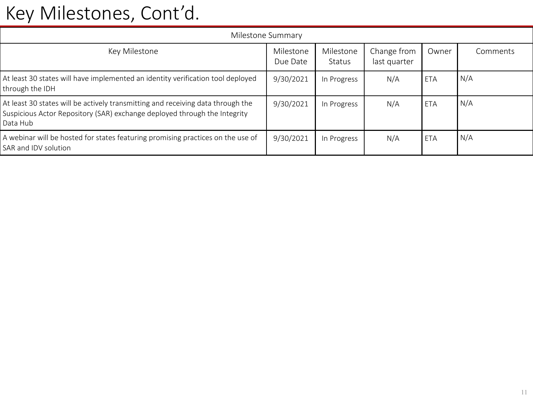### Key Milestones, Cont'd.

| Milestone Summary                                                                                                                                                        |                       |                     |                             |       |          |  |  |
|--------------------------------------------------------------------------------------------------------------------------------------------------------------------------|-----------------------|---------------------|-----------------------------|-------|----------|--|--|
| Key Milestone                                                                                                                                                            | Milestone<br>Due Date | Milestone<br>Status | Change from<br>last quarter | Owner | Comments |  |  |
| At least 30 states will have implemented an identity verification tool deployed<br>through the IDH                                                                       | 9/30/2021             | In Progress         | N/A                         | ETA   | N/A      |  |  |
| At least 30 states will be actively transmitting and receiving data through the<br>Suspicious Actor Repository (SAR) exchange deployed through the Integrity<br>Data Hub | 9/30/2021             | In Progress         | N/A                         | ETA   | N/A      |  |  |
| A webinar will be hosted for states featuring promising practices on the use of<br>SAR and IDV solution                                                                  | 9/30/2021             | In Progress         | N/A                         | ETA   | N/A      |  |  |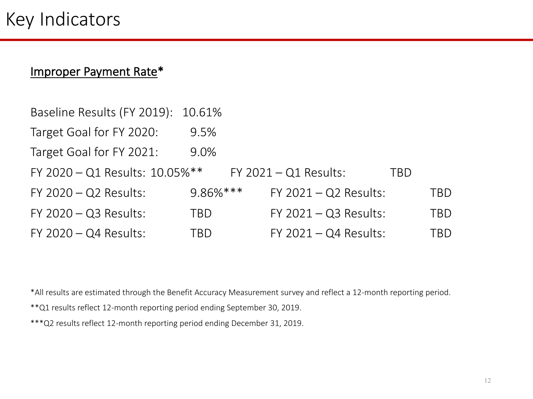#### Improper Payment Rate\*

| Baseline Results (FY 2019): 10.61% |              |                         |     |     |
|------------------------------------|--------------|-------------------------|-----|-----|
| Target Goal for FY 2020:           | 9.5%         |                         |     |     |
| Target Goal for FY 2021:           | 9.0%         |                         |     |     |
| FY 2020 - Q1 Results: 10.05%**     |              | $FY$ 2021 - Q1 Results: | TBD |     |
| $FY$ 2020 $-Q2$ Results:           | $9.86\%$ *** | $FY$ 2021 - Q2 Results: |     | TBD |
| $FY$ 2020 $-Q3$ Results:           | TBD          | $FY$ 2021 - Q3 Results: |     | TBD |
| $FY$ 2020 $-Q4$ Results:           | TBD          | $FY$ 2021 - Q4 Results: |     | TBD |

\*All results are estimated through the Benefit Accuracy Measurement survey and reflect a 12-month reporting period.

\*\*Q1 results reflect 12-month reporting period ending September 30, 2019.

\*\*\*Q2 results reflect 12-month reporting period ending December 31, 2019.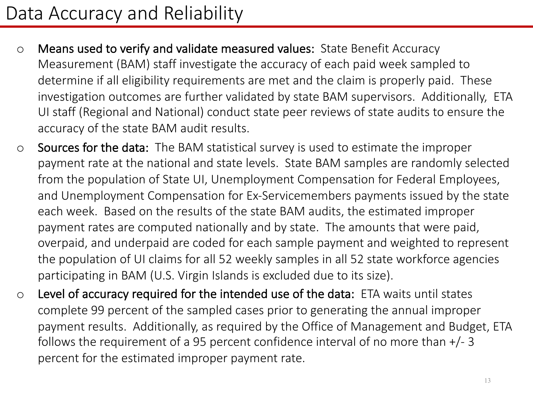### Data Accuracy and Reliability

- o Means used to verify and validate measured values: State Benefit Accuracy Measurement (BAM) staff investigate the accuracy of each paid week sampled to determine if all eligibility requirements are met and the claim is properly paid. These investigation outcomes are further validated by state BAM supervisors. Additionally, ETA UI staff (Regional and National) conduct state peer reviews of state audits to ensure the accuracy of the state BAM audit results.
- o Sources for the data: The BAM statistical survey is used to estimate the improper payment rate at the national and state levels. State BAM samples are randomly selected from the population of State UI, Unemployment Compensation for Federal Employees, and Unemployment Compensation for Ex-Servicemembers payments issued by the state each week. Based on the results of the state BAM audits, the estimated improper payment rates are computed nationally and by state. The amounts that were paid, overpaid, and underpaid are coded for each sample payment and weighted to represent the population of UI claims for all 52 weekly samples in all 52 state workforce agencies participating in BAM (U.S. Virgin Islands is excluded due to its size).
- o Level of accuracy required for the intended use of the data: ETA waits until states complete 99 percent of the sampled cases prior to generating the annual improper payment results. Additionally, as required by the Office of Management and Budget, ETA follows the requirement of a 95 percent confidence interval of no more than +/- 3 percent for the estimated improper payment rate.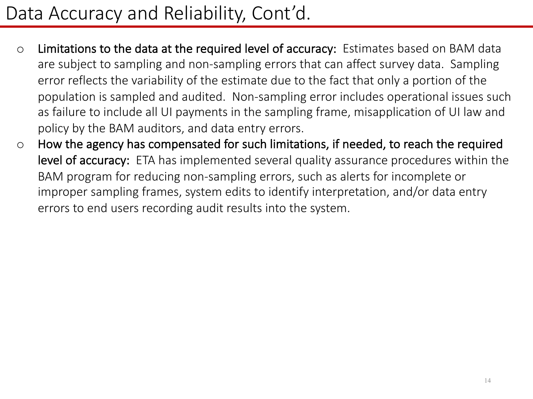### Data Accuracy and Reliability, Cont'd.

- o Limitations to the data at the required level of accuracy: Estimates based on BAM data are subject to sampling and non-sampling errors that can affect survey data. Sampling error reflects the variability of the estimate due to the fact that only a portion of the population is sampled and audited. Non-sampling error includes operational issues such as failure to include all UI payments in the sampling frame, misapplication of UI law and policy by the BAM auditors, and data entry errors.
- o How the agency has compensated for such limitations, if needed, to reach the required level of accuracy: ETA has implemented several quality assurance procedures within the BAM program for reducing non-sampling errors, such as alerts for incomplete or improper sampling frames, system edits to identify interpretation, and/or data entry errors to end users recording audit results into the system.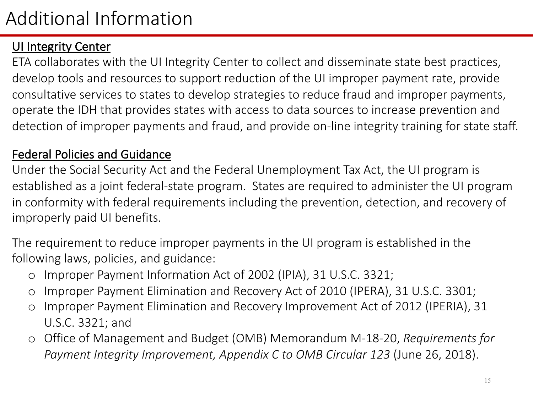#### UI Integrity Center

ETA collaborates with the UI Integrity Center to collect and disseminate state best practices, develop tools and resources to support reduction of the UI improper payment rate, provide consultative services to states to develop strategies to reduce fraud and improper payments, operate the IDH that provides states with access to data sources to increase prevention and detection of improper payments and fraud, and provide on-line integrity training for state staff.

#### Federal Policies and Guidance

Under the Social Security Act and the Federal Unemployment Tax Act, the UI program is established as a joint federal-state program. States are required to administer the UI program in conformity with federal requirements including the prevention, detection, and recovery of improperly paid UI benefits.

The requirement to reduce improper payments in the UI program is established in the following laws, policies, and guidance:

- o Improper Payment Information Act of 2002 (IPIA), 31 U.S.C. 3321;
- o Improper Payment Elimination and Recovery Act of 2010 (IPERA), 31 U.S.C. 3301;
- o Improper Payment Elimination and Recovery Improvement Act of 2012 (IPERIA), 31 U.S.C. 3321; and
- o Office of Management and Budget (OMB) Memorandum M-18-20, *Requirements for Payment Integrity Improvement, Appendix C to OMB Circular 123* (June 26, 2018).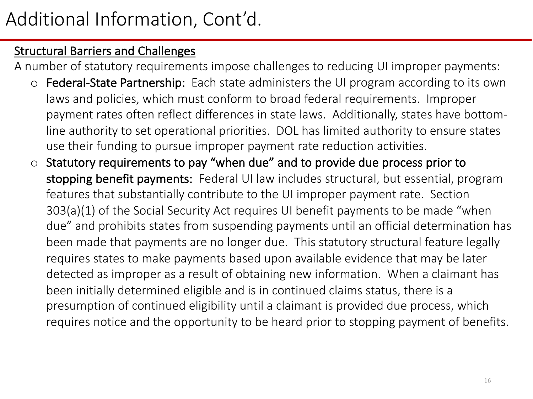#### **Structural Barriers and Challenges**

A number of statutory requirements impose challenges to reducing UI improper payments:

- o Federal-State Partnership: Each state administers the UI program according to its own laws and policies, which must conform to broad federal requirements. Improper payment rates often reflect differences in state laws. Additionally, states have bottomline authority to set operational priorities. DOL has limited authority to ensure states use their funding to pursue improper payment rate reduction activities.
- Statutory requirements to pay "when due" and to provide due process prior to stopping benefit payments: Federal UI law includes structural, but essential, program features that substantially contribute to the UI improper payment rate. Section 303(a)(1) of the Social Security Act requires UI benefit payments to be made "when due" and prohibits states from suspending payments until an official determination has been made that payments are no longer due. This statutory structural feature legally requires states to make payments based upon available evidence that may be later detected as improper as a result of obtaining new information. When a claimant has been initially determined eligible and is in continued claims status, there is a presumption of continued eligibility until a claimant is provided due process, which requires notice and the opportunity to be heard prior to stopping payment of benefits.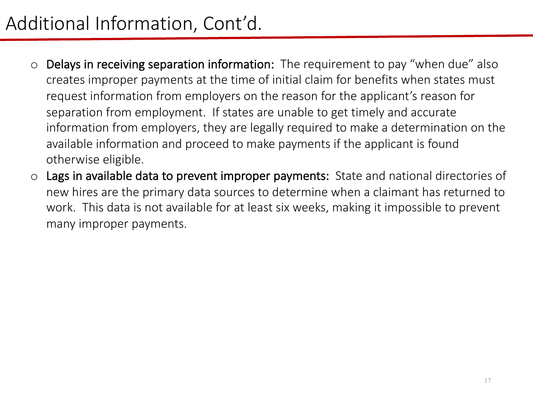# Additional Information, Cont'd.

- o Delays in receiving separation information: The requirement to pay "when due" also creates improper payments at the time of initial claim for benefits when states must request information from employers on the reason for the applicant's reason for separation from employment. If states are unable to get timely and accurate information from employers, they are legally required to make a determination on the available information and proceed to make payments if the applicant is found otherwise eligible.
- o Lags in available data to prevent improper payments: State and national directories of new hires are the primary data sources to determine when a claimant has returned to work. This data is not available for at least six weeks, making it impossible to prevent many improper payments.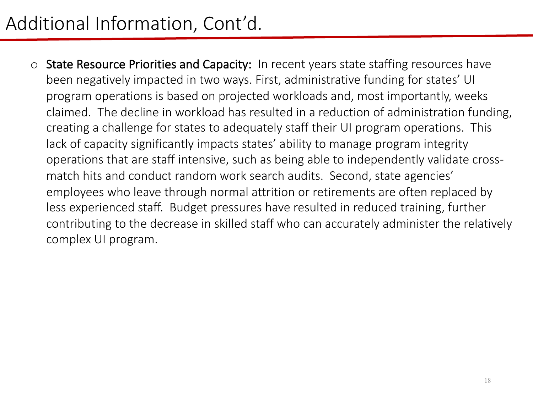# Additional Information, Cont'd.

o State Resource Priorities and Capacity: In recent years state staffing resources have been negatively impacted in two ways. First, administrative funding for states' UI program operations is based on projected workloads and, most importantly, weeks claimed. The decline in workload has resulted in a reduction of administration funding, creating a challenge for states to adequately staff their UI program operations. This lack of capacity significantly impacts states' ability to manage program integrity operations that are staff intensive, such as being able to independently validate crossmatch hits and conduct random work search audits. Second, state agencies' employees who leave through normal attrition or retirements are often replaced by less experienced staff. Budget pressures have resulted in reduced training, further contributing to the decrease in skilled staff who can accurately administer the relatively complex UI program.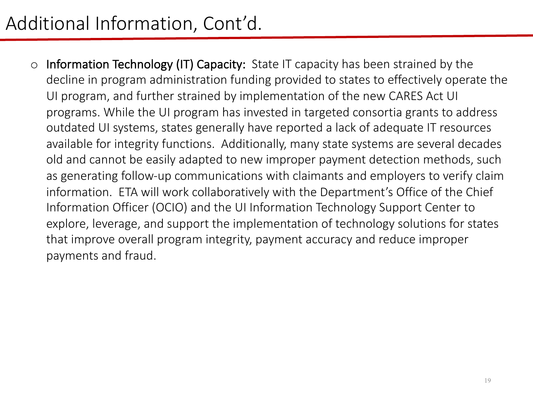# Additional Information, Cont'd.

o Information Technology (IT) Capacity: State IT capacity has been strained by the decline in program administration funding provided to states to effectively operate the UI program, and further strained by implementation of the new CARES Act UI programs. While the UI program has invested in targeted consortia grants to address outdated UI systems, states generally have reported a lack of adequate IT resources available for integrity functions. Additionally, many state systems are several decades old and cannot be easily adapted to new improper payment detection methods, such as generating follow-up communications with claimants and employers to verify claim information. ETA will work collaboratively with the Department's Office of the Chief Information Officer (OCIO) and the UI Information Technology Support Center to explore, leverage, and support the implementation of technology solutions for states that improve overall program integrity, payment accuracy and reduce improper payments and fraud.